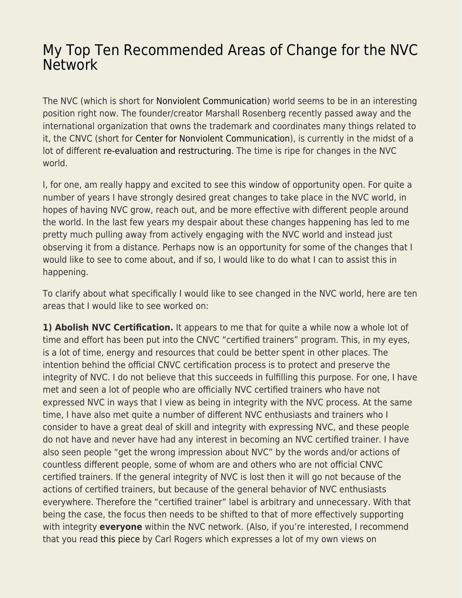# [My Top Ten Recommended Areas of Change for the NVC](https://everything-voluntary.com/top-ten-recommended-areas-change-nvc-network) **[Network](https://everything-voluntary.com/top-ten-recommended-areas-change-nvc-network)**

The NVC (which is short for [Nonviolent Communication\)](http://en.wikipedia.org/wiki/Nonviolent_Communication) world seems to be in an interesting position right now. The founder/creator Marshall Rosenberg recently passed away and the international organization that owns the trademark and coordinates many things related to it, the CNVC (short for [Center for Nonviolent Communication](http://www.cnvc.org/)), is currently in the midst of a lot of different [re-evaluation and restructuring.](https://www.cnvc.org/about) The time is ripe for changes in the NVC world.

I, for one, am really happy and excited to see this window of opportunity open. For quite a number of years I have strongly desired great changes to take place in the NVC world, in hopes of having NVC grow, reach out, and be more effective with different people around the world. In the last few years my despair about these changes happening has led to me pretty much pulling away from actively engaging with the NVC world and instead just observing it from a distance. Perhaps now is an opportunity for some of the changes that I would like to see to come about, and if so, I would like to do what I can to assist this in happening.

To clarify about what specifically I would like to see changed in the NVC world, here are ten areas that I would like to see worked on:

**1) Abolish NVC Certification.** It appears to me that for quite a while now a whole lot of time and effort has been put into the CNVC "certified trainers" program. This, in my eyes, is a lot of time, energy and resources that could be better spent in other places. The intention behind the official CNVC certification process is to protect and preserve the integrity of NVC. I do not believe that this succeeds in fulfilling this purpose. For one, I have met and seen a lot of people who are officially NVC certified trainers who have not expressed NVC in ways that I view as being in integrity with the NVC process. At the same time, I have also met quite a number of different NVC enthusiasts and trainers who I consider to have a great deal of skill and integrity with expressing NVC, and these people do not have and never have had any interest in becoming an NVC certified trainer. I have also seen people "get the wrong impression about NVC" by the words and/or actions of countless different people, some of whom are and others who are not official CNVC certified trainers. If the general integrity of NVC is lost then it will go not because of the actions of certified trainers, but because of the general behavior of NVC enthusiasts everywhere. Therefore the "certified trainer" label is arbitrary and unnecessary. With that being the case, the focus then needs to be shifted to that of more effectively supporting with integrity **everyone** within the NVC network. (Also, if you're interested, I recommend that you read [this piece](http://web.archive.org/web/20150515132536/http://www.mediateyourlife.com:80/dare-away-professionalism-carl-rogers/) by Carl Rogers which expresses a lot of my own views on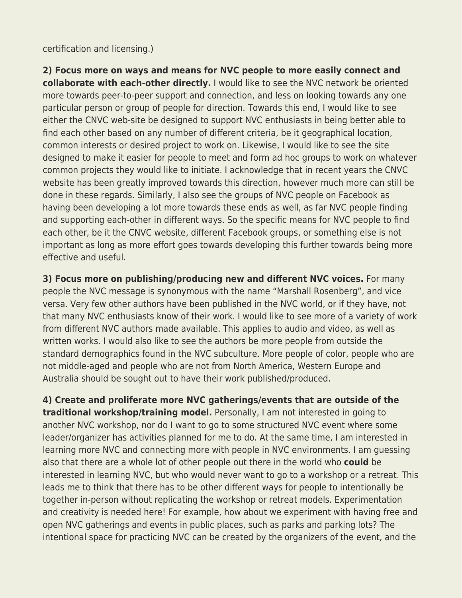certification and licensing.)

**2) Focus more on ways and means for NVC people to more easily connect and collaborate with each-other directly.** I would like to see the NVC network be oriented more towards peer-to-peer support and connection, and less on looking towards any one particular person or group of people for direction. Towards this end, I would like to see either the CNVC web-site be designed to support NVC enthusiasts in being better able to find each other based on any number of different criteria, be it geographical location, common interests or desired project to work on. Likewise, I would like to see the site designed to make it easier for people to meet and form ad hoc groups to work on whatever common projects they would like to initiate. I acknowledge that in recent years the CNVC website has been greatly improved towards this direction, however much more can still be done in these regards. Similarly, I also see the groups of NVC people on Facebook as having been developing a lot more towards these ends as well, as far NVC people finding and supporting each-other in different ways. So the specific means for NVC people to find each other, be it the CNVC website, different Facebook groups, or something else is not important as long as more effort goes towards developing this further towards being more effective and useful.

**3) Focus more on publishing/producing new and different NVC voices.** For many people the NVC message is synonymous with the name "Marshall Rosenberg", and vice versa. Very few other authors have been published in the NVC world, or if they have, not that many NVC enthusiasts know of their work. I would like to see more of a variety of work from different NVC authors made available. This applies to audio and video, as well as written works. I would also like to see the authors be more people from outside the standard demographics found in the NVC subculture. More people of color, people who are not middle-aged and people who are not from North America, Western Europe and Australia should be sought out to have their work published/produced.

**4) Create and proliferate more NVC gatherings/events that are outside of the traditional workshop/training model.** Personally, I am not interested in going to another NVC workshop, nor do I want to go to some structured NVC event where some leader/organizer has activities planned for me to do. At the same time, I am interested in learning more NVC and connecting more with people in NVC environments. I am guessing also that there are a whole lot of other people out there in the world who **could** be interested in learning NVC, but who would never want to go to a workshop or a retreat. This leads me to think that there has to be other different ways for people to intentionally be together in-person without replicating the workshop or retreat models. Experimentation and creativity is needed here! For example, how about we experiment with having free and open NVC gatherings and events in public places, such as parks and parking lots? The intentional space for practicing NVC can be created by the organizers of the event, and the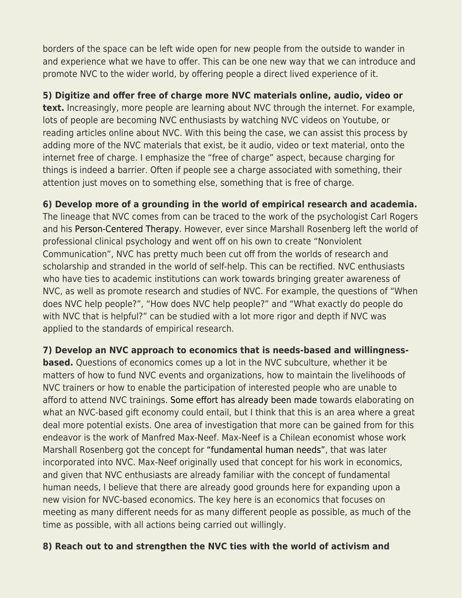borders of the space can be left wide open for new people from the outside to wander in and experience what we have to offer. This can be one new way that we can introduce and promote NVC to the wider world, by offering people a direct lived experience of it.

## **5) Digitize and offer free of charge more NVC materials online, audio, video or**

**text.** Increasingly, more people are learning about NVC through the internet. For example, lots of people are becoming NVC enthusiasts by watching NVC videos on Youtube, or reading articles online about NVC. With this being the case, we can assist this process by adding more of the NVC materials that exist, be it audio, video or text material, onto the internet free of charge. I emphasize the "free of charge" aspect, because charging for things is indeed a barrier. Often if people see a charge associated with something, their attention just moves on to something else, something that is free of charge.

### **6) Develop more of a grounding in the world of empirical research and academia.**

The lineage that NVC comes from can be traced to the work of the psychologist Carl Rogers and his [Person-Centered Therapy.](http://en.wikipedia.org/wiki/Person-centered_therapy) However, ever since Marshall Rosenberg left the world of professional clinical psychology and went off on his own to create "Nonviolent Communication", NVC has pretty much been cut off from the worlds of research and scholarship and stranded in the world of self-help. This can be rectified. NVC enthusiasts who have ties to academic institutions can work towards bringing greater awareness of NVC, as well as promote research and studies of NVC. For example, the questions of "When does NVC help people?", "How does NVC help people?" and "What exactly do people do with NVC that is helpful?" can be studied with a lot more rigor and depth if NVC was applied to the standards of empirical research.

### **7) Develop an NVC approach to economics that is needs-based and willingness-**

**based.** Questions of economics comes up a lot in the NVC subculture, whether it be matters of how to fund NVC events and organizations, how to maintain the livelihoods of NVC trainers or how to enable the participation of interested people who are unable to afford to attend NVC trainings. [Some effort has already been made](http://web.archive.org/web/20160811063748/http://thefearlessheart.org/abundance-inequality-needs-and-privilege/) towards elaborating on what an NVC-based gift economy could entail, but I think that this is an area where a great deal more potential exists. One area of investigation that more can be gained from for this endeavor is the work of Manfred Max-Neef. Max-Neef is a Chilean economist whose work Marshall Rosenberg got the concept for ["fundamental human needs"](http://en.wikipedia.org/wiki/Fundamental_human_needs), that was later incorporated into NVC. Max-Neef originally used that concept for his work in economics, and given that NVC enthusiasts are already familiar with the concept of fundamental human needs, I believe that there are already good grounds here for expanding upon a new vision for NVC-based economics. The key here is an economics that focuses on meeting as many different needs for as many different people as possible, as much of the time as possible, with all actions being carried out willingly.

#### **8) Reach out to and strengthen the NVC ties with the world of activism and**